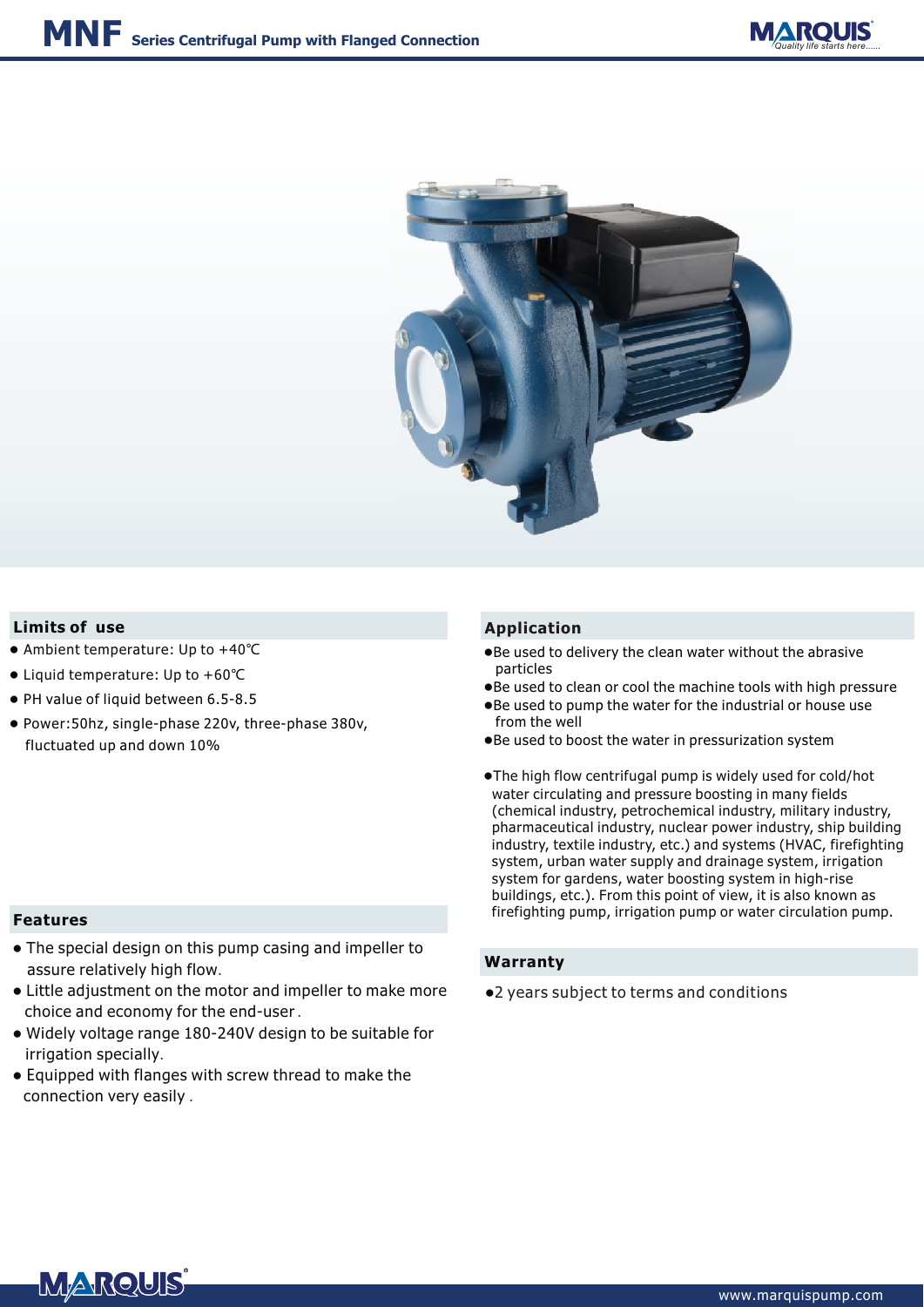



#### **Limits of use Application**

- Ambient temperature: Up to +40℃
- Liquid temperature: Up to +60℃
- PH value of liquid between 6.5-8.5
- Power:50hz, single-phase 220v, three-phase 380v, fluctuated up and down 10%

- Be used to delivery the clean water without the abrasive particles
- Be used to clean or cool the machine tools with high pressure
- Be used to pump the water for the industrial or house use from the well
- Be used to boost the water in pressurization system
- ●The high flow centrifugal pump is widely used for cold/hot water circulating and pressure boosting in many fields (chemical industry, petrochemical industry, military industry, pharmaceutical industry, nuclear power industry, ship building industry, textile industry, etc.) and systems (HVAC, firefighting system, urban water supply and drainage system, irrigation system for gardens, water boosting system in high-rise buildings, etc.). From this point of view, it is also known as firefighting pump, irrigation pump or water circulation pump.

#### **Warranty**

●2 years subject to terms and conditions

### **Features**

- The special design on this pump casing and impeller to assure relatively high flow.
- Little adjustment on the motor and impeller to make more choice and economy for the end-user .
- Widely voltage range 180-240V design to be suitable for irrigation specially.
- Equipped with flanges with screw thread to make the connection very easily .

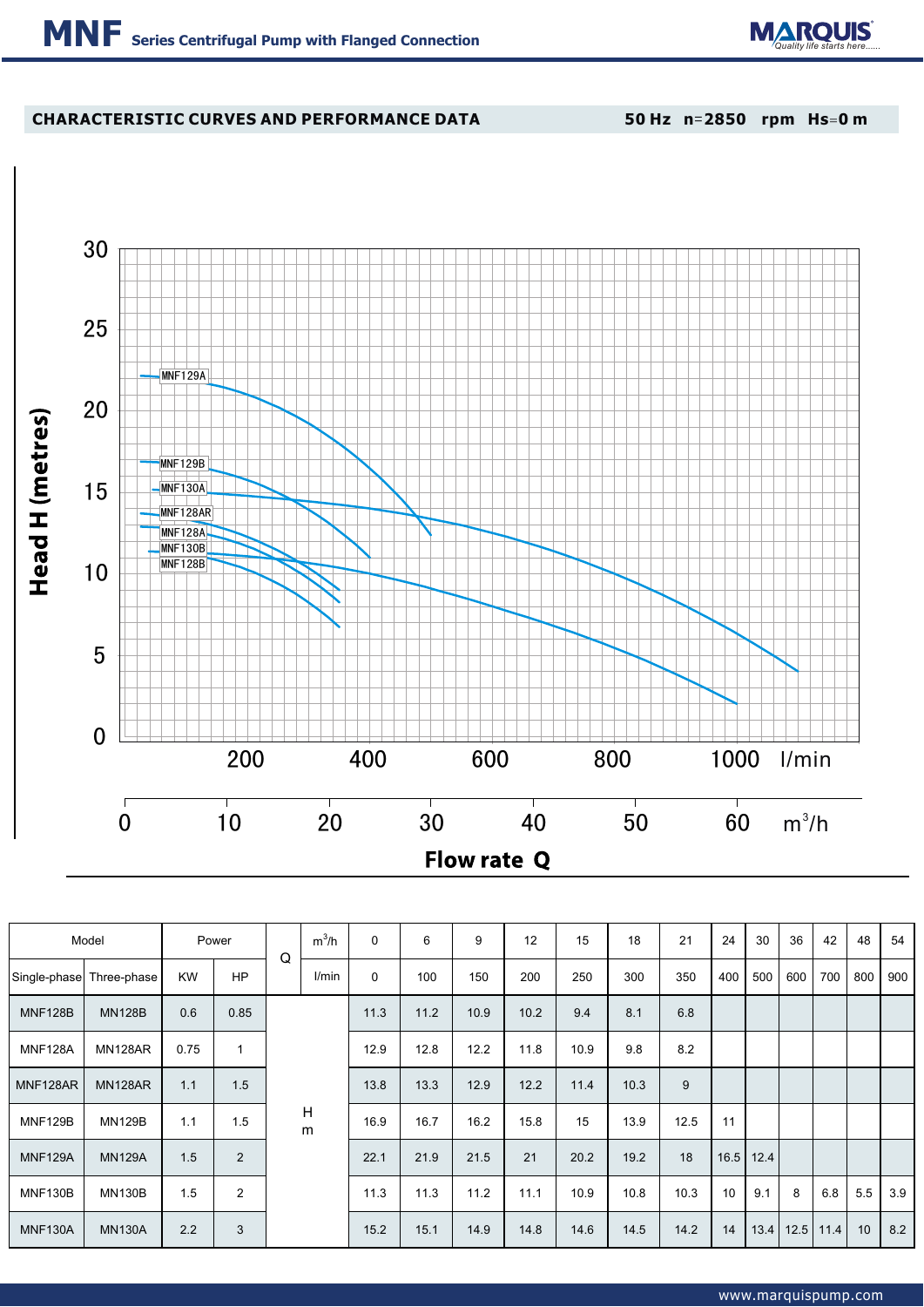

## **CHARACTERISTIC CURVES AND PERFORMANCE DATA**

**50 Hz n**=**2850 rpm Hs**=**0 m**



| Model          |                | Power     |                | Q | $m^3/h$ | $\mathbf 0$ | 6    | 9    | 12   | 15   | 18   | 21   | 24  | 30          | 36   | 42   | 48  | 54  |
|----------------|----------------|-----------|----------------|---|---------|-------------|------|------|------|------|------|------|-----|-------------|------|------|-----|-----|
| Single-phase   | Three-phase    | <b>KW</b> | <b>HP</b>      |   | l/min   | 0           | 100  | 150  | 200  | 250  | 300  | 350  | 400 | 500         | 600  | 700  | 800 | 900 |
| <b>MNF128B</b> | <b>MN128B</b>  | 0.6       | 0.85           |   |         | 11.3        | 11.2 | 10.9 | 10.2 | 9.4  | 8.1  | 6.8  |     |             |      |      |     |     |
| <b>MNF128A</b> | MN128AR        | 0.75      | 1              |   | 12.9    | 12.8        | 12.2 | 11.8 | 10.9 | 9.8  | 8.2  |      |     |             |      |      |     |     |
| MNF128AR       | <b>MN128AR</b> | 1.1       | 1.5            |   | H<br>m  | 13.8        | 13.3 | 12.9 | 12.2 | 11.4 | 10.3 | 9    |     |             |      |      |     |     |
| <b>MNF129B</b> | <b>MN129B</b>  | 1.1       | 1.5            |   |         | 16.9        | 16.7 | 16.2 | 15.8 | 15   | 13.9 | 12.5 | 11  |             |      |      |     |     |
| <b>MNF129A</b> | <b>MN129A</b>  | 1.5       | $\overline{2}$ |   |         | 22.1        | 21.9 | 21.5 | 21   | 20.2 | 19.2 | 18   |     | $16.5$ 12.4 |      |      |     |     |
| MNF130B        | <b>MN130B</b>  | 1.5       | $\overline{2}$ |   |         | 11.3        | 11.3 | 11.2 | 11.1 | 10.9 | 10.8 | 10.3 | 10  | 9.1         | 8    | 6.8  | 5.5 | 3.9 |
| <b>MNF130A</b> | <b>MN130A</b>  | 2.2       | 3              |   |         | 15.2        | 15.1 | 14.9 | 14.8 | 14.6 | 14.5 | 14.2 | 14  | 13.4        | 12.5 | 11.4 | 10  | 8.2 |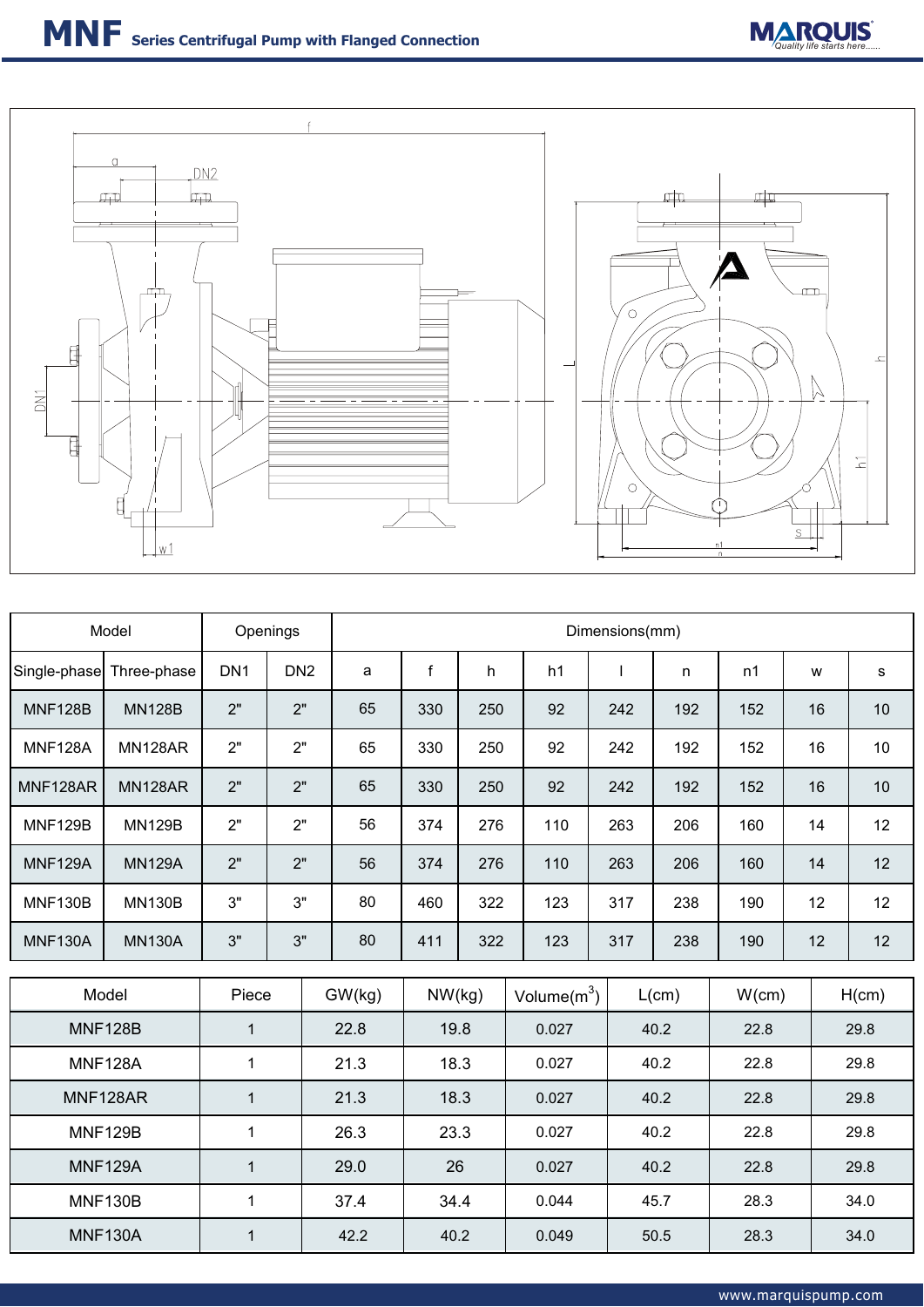



| Model          | Openings       |                                    |                 | Dimensions(mm) |             |       |       |                |      |            |       |      |       |  |
|----------------|----------------|------------------------------------|-----------------|----------------|-------------|-------|-------|----------------|------|------------|-------|------|-------|--|
| Single-phase   | Three-phase    | DN <sub>1</sub><br>DN <sub>2</sub> |                 | a              | $\mathsf f$ | h     | h1    |                |      | n          | n1    | W    | s     |  |
| <b>MNF128B</b> | <b>MN128B</b>  | 2"                                 | 2"              |                | 330         | 250   | 92    |                | 242  | 192        | 152   | 16   | 10    |  |
| <b>MNF128A</b> | <b>MN128AR</b> | 2"<br>2"                           |                 | 65             | 330         | 250   | 92    |                | 242  | 192        | 152   | 16   | 10    |  |
| MNF128AR       | <b>MN128AR</b> | 2"<br>2"                           |                 | 65             | 330         | 250   | 92    |                | 242  | 192<br>152 |       | 16   | 10    |  |
| <b>MNF129B</b> | <b>MN129B</b>  | 2"                                 | 2"              | 56             | 374         | 276   | 110   |                | 263  | 206        | 160   | 14   | 12    |  |
| <b>MNF129A</b> | <b>MN129A</b>  | 2"                                 | 2"              | 56             | 374         | 276   | 110   |                | 263  | 206        | 160   | 14   | 12    |  |
| <b>MNF130B</b> | <b>MN130B</b>  | 3"                                 | 3"              | 80             | 460         | 322   | 123   |                | 317  | 238        | 190   | 12   | 12    |  |
| <b>MNF130A</b> | <b>MN130A</b>  | 3"                                 | 3"              | 80             | 411         | 322   | 123   |                | 317  | 238        | 190   | 12   | 12    |  |
| Model          |                |                                    | Piece<br>GW(kg) |                | NW(kg)      |       |       | Volume $(m^3)$ |      | L(cm)      | W(cm) |      | H(cm) |  |
| <b>MNF128B</b> |                | $\mathbf{1}$                       | 22.8            |                | 19.8        |       |       | 0.027          |      | 40.2       | 22.8  |      | 29.8  |  |
| <b>MNF128A</b> |                | 1                                  |                 |                | 18.3        |       | 0.027 |                | 40.2 |            | 22.8  |      | 29.8  |  |
| MNF128AR       |                | $\mathbf{1}$                       |                 | 21.3           | 18.3        |       | 0.027 |                | 40.2 |            | 22.8  |      | 29.8  |  |
| <b>MNF129B</b> |                | $\mathbf{1}$                       |                 | 26.3           | 23.3        |       | 0.027 |                | 40.2 |            | 22.8  |      | 29.8  |  |
| <b>MNF129A</b> | $\mathbf{1}$   |                                    | 29.0            | 26             |             | 0.027 |       | 40.2           |      | 22.8       |       | 29.8 |       |  |
| <b>MNF130B</b> | $\mathbf{1}$   |                                    | 37.4            | 34.4           |             |       | 0.044 |                | 45.7 | 28.3       |       | 34.0 |       |  |
| <b>MNF130A</b> | $\mathbf{1}$   |                                    | 42.2            | 40.2           |             |       | 0.049 |                | 50.5 | 28.3       |       | 34.0 |       |  |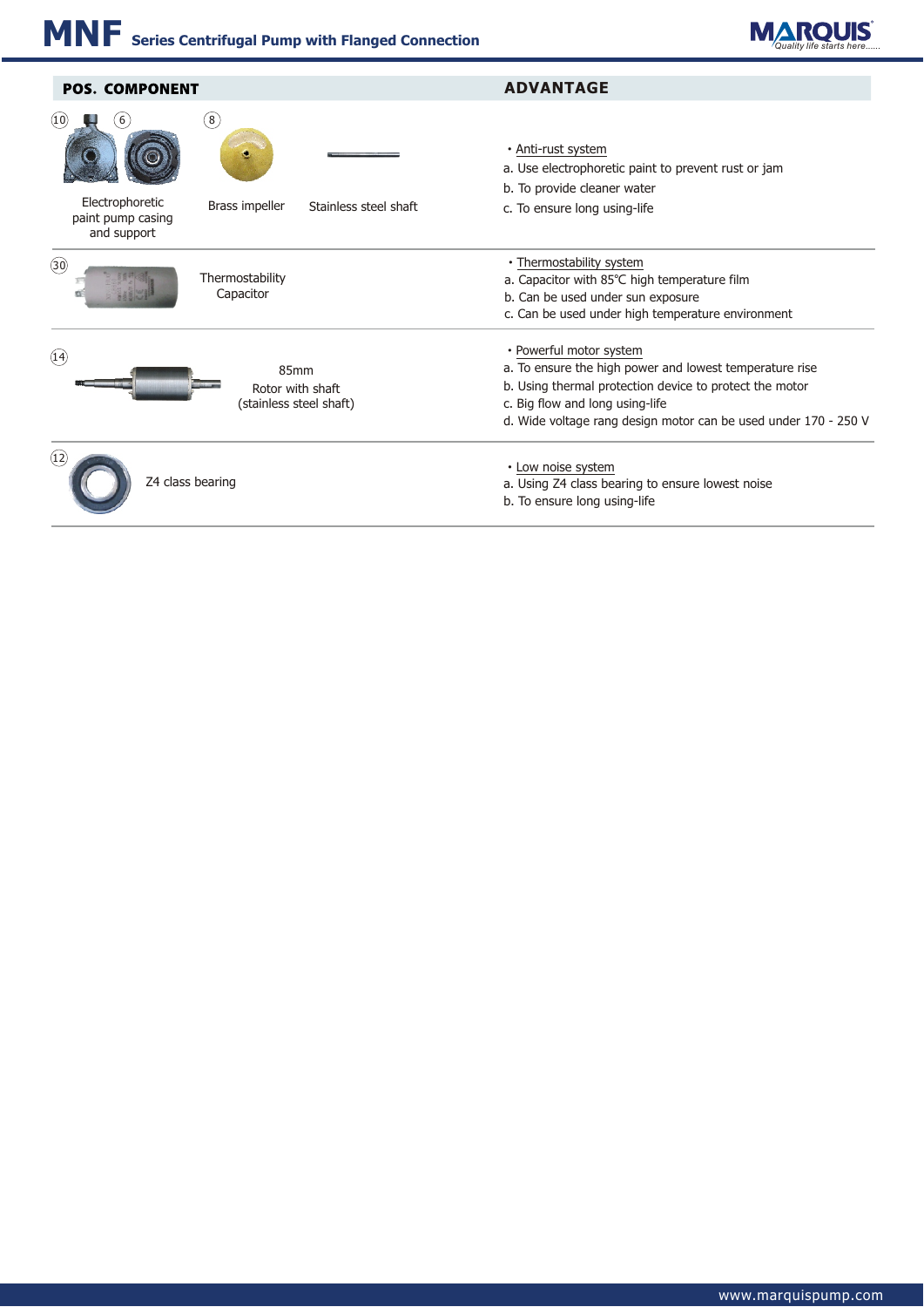

| <b>POS. COMPONENT</b>                                                                                              | <b>ADVANTAGE</b>                                                                                                                                                                                                                                    |  |  |  |  |  |  |  |  |
|--------------------------------------------------------------------------------------------------------------------|-----------------------------------------------------------------------------------------------------------------------------------------------------------------------------------------------------------------------------------------------------|--|--|--|--|--|--|--|--|
| (8)<br>(10)<br>6<br>Electrophoretic<br>Brass impeller<br>Stainless steel shaft<br>paint pump casing<br>and support | · Anti-rust system<br>a. Use electrophoretic paint to prevent rust or jam<br>b. To provide cleaner water<br>c. To ensure long using-life                                                                                                            |  |  |  |  |  |  |  |  |
| $\circled{30}$<br>Thermostability<br>Capacitor                                                                     | • Thermostability system<br>a. Capacitor with 85°C high temperature film<br>b. Can be used under sun exposure<br>c. Can be used under high temperature environment                                                                                  |  |  |  |  |  |  |  |  |
| (14)<br>85mm<br>Rotor with shaft<br>(stainless steel shaft)                                                        | • Powerful motor system<br>a. To ensure the high power and lowest temperature rise<br>b. Using thermal protection device to protect the motor<br>c. Big flow and long using-life<br>d. Wide voltage rang design motor can be used under 170 - 250 V |  |  |  |  |  |  |  |  |
| (12)<br>Z4 class bearing                                                                                           | • Low noise system<br>a. Using Z4 class bearing to ensure lowest noise<br>b. To ensure long using-life                                                                                                                                              |  |  |  |  |  |  |  |  |